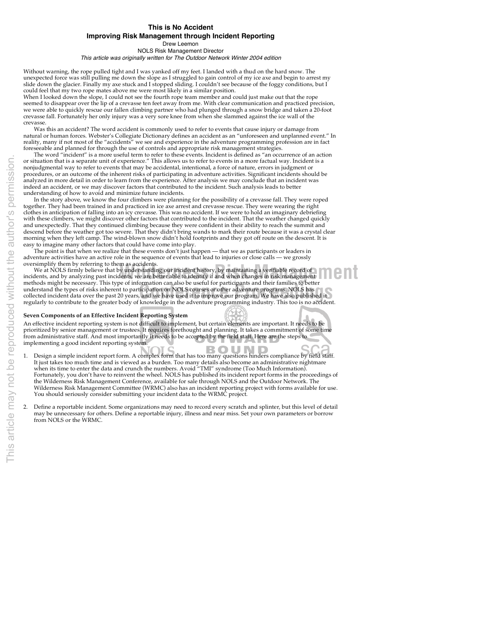## **This is No Accident Improving Risk Management through Incident Reporting**

Drew Leemon NOLS Risk Management Director

This article was originally written for The Outdoor Network Winter 2004 edition

Without warning, the rope pulled tight and I was yanked off my feet. I landed with a thud on the hard snow. The unexpected force was still pulling me down the slope as I struggled to gain control of my ice axe and begin to arrest my slide down the glacier. Finally my axe stuck and I stopped sliding. I couldn't see because of the foggy conditions, but I could feel that my two rope mates above me were most likely in a similar position.

When I looked down the slope, I could not see the fourth rope team member and could just make out that the rope seemed to disappear over the lip of a crevasse ten feet away from me. With clear communication and practiced precision, we were able to quickly rescue our fallen climbing partner who had plunged through a snow bridge and taken a 20-foot crevasse fall. Fortunately her only injury was a very sore knee from when she slammed against the ice wall of the crevasse.

Was this an accident? The word accident is commonly used to refer to events that cause injury or damage from natural or human forces. Webster's Collegiate Dictionary defines an accident as an "unforeseen and unplanned event." In reality, many if not most of the "accidents" we see and experience in the adventure programming profession are in fact foreseeable and planned for through the use of controls and appropriate risk management strategies.

The word "incident" is a more useful term to refer to these events. Incident is defined as "an occurrence of an action or situation that is a separate unit of experience." This allows us to refer to events in a more factual way. Incident is a nonjudgmental way to refer to events that may be accidental, intentional, a force of nature, errors in judgment or procedures, or an outcome of the inherent risks of participating in adventure activities. Significant incidents should be<br>analyzed in more detail in order to learn from the experience. After analysis we may conclude that a indeed an accident, or we may discover factors that contributed to the incident. Such analysis leads to better understanding of how to avoid and minimize future incidents.

In the story above, we know the four climbers were planning for the possibility of a crevasse fall. They were roped together. They had been trained in and practiced in ice axe arrest and crevasse rescue. They were wearing the right clothes in anticipation of falling into an icy crevasse. This was no accident. If we were to hold an imaginary debriefing with these climbers, we might discover other factors that contributed to the incident. That the weather changed quickly and unexpectedly. That they continued climbing because they were confident in their ability to reach the summit and descend before the weather got too severe. That they didn't bring wands to mark their route because it was a crystal clear morning when they left camp. The wind-blown snow didn't hold footprints and they got off route on the descent. It is easy to imagine many other factors that could have come into play.

The point is that when we realize that these events don't just happen — that we as participants or leaders in adventure activities have an active role in the sequence of events that lead to injuries or close calls — we grossly

memods ingit be necessary. This type of information can also be useful for participatitis and their failures to better<br>collected incident data over the past 20 years, and we have used it to improve our program. NOLS has<br>re **We at NOLS firmly believe that by understanding our incident history, by maintaining a verifiable record of the MAN and MAN and MAN and MAN and MAN and MAN and MAN and MAN and MAN and MAN and MAN and MAN and MAN and MAN a** We at NOLS firmly believe that by understanding our incident history, by maintaining a verifiable record of incidents, and by analyzing past incidents, we are better able to identify if and when changes in risk management methods might be necessary. This type of information can also be useful for participants and their families to better regularly to contribute to the greater body of knowledge in the adventure programming industry. This too is no accident.

## **Seven Components of an Effective Incident Reporting System**

An effective incident reporting system is not difficult to implement, but certain elements are important. It needs to be prioritized by senior management or trustees. It requires forethought and planning. It takes a commitment of some time from administrative staff. And most importantly it needs to be accepted by the field staff. Here are the steps to implementing a good incident reporting system. BOUND

- Design a simple incident report form. A complex form that has too many questions hinders compliance by field staff. It just takes too much time and is viewed as a burden. Too many details also become an administrative nightmare when its time to enter the data and crunch the numbers. Avoid "TMI" syndrome (Too Much Information). Fortunately, you don't have to reinvent the wheel. NOLS has published its incident report forms in the proceedings of the Wilderness Risk Management Conference, available for sale through NOLS and the Outdoor Network. The Wilderness Risk Management Committee (WRMC) also has an incident reporting project with forms available for use. You should seriously consider submitting your incident data to the WRMC project.
- 2. Define a reportable incident. Some organizations may need to record every scratch and splinter, but this level of detail may be unnecessary for others. Define a reportable injury, illness and near miss. Set your own parameters or borrow from NOLS or the WRMC.